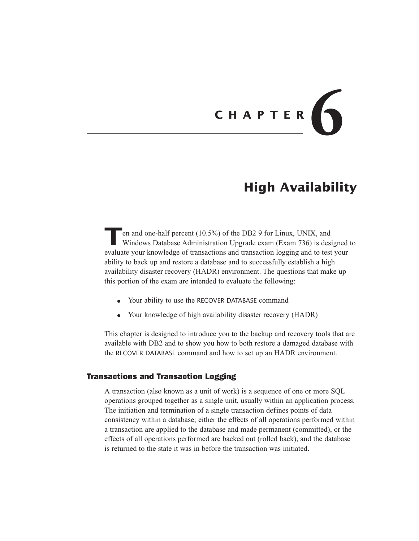# **CHAPTER 6**

# **High Availability**

**T**en and one-half percent (10.5%) of the DB2 9 for Linux, UNIX, and<br>Windows Database Administration Upgrade exam (Exam 736) is designed to evaluate your knowledge of transactions and transaction logging and to test your ability to back up and restore a database and to successfully establish a high availability disaster recovery (HADR) environment. The questions that make up this portion of the exam are intended to evaluate the following:

- Your ability to use the RECOVER DATABASE command
- Your knowledge of high availability disaster recovery (HADR)

This chapter is designed to introduce you to the backup and recovery tools that are available with DB2 and to show you how to both restore a damaged database with the RECOVER DATABASE command and how to set up an HADR environment.

# Transactions and Transaction Logging

A transaction (also known as a unit of work) is a sequence of one or more SQL operations grouped together as a single unit, usually within an application process. The initiation and termination of a single transaction defines points of data consistency within a database; either the effects of all operations performed within a transaction are applied to the database and made permanent (committed), or the effects of all operations performed are backed out (rolled back), and the database is returned to the state it was in before the transaction was initiated.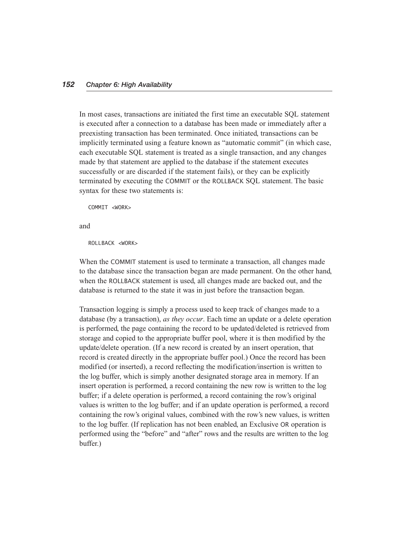In most cases, transactions are initiated the first time an executable SQL statement is executed after a connection to a database has been made or immediately after a preexisting transaction has been terminated. Once initiated, transactions can be implicitly terminated using a feature known as "automatic commit" (in which case, each executable SQL statement is treated as a single transaction, and any changes made by that statement are applied to the database if the statement executes successfully or are discarded if the statement fails), or they can be explicitly terminated by executing the COMMIT or the ROLLBACK SQL statement. The basic syntax for these two statements is:

COMMIT <WORK>

and

ROLLBACK <WORK>

When the COMMIT statement is used to terminate a transaction, all changes made to the database since the transaction began are made permanent. On the other hand, when the ROLLBACK statement is used, all changes made are backed out, and the database is returned to the state it was in just before the transaction began.

Transaction logging is simply a process used to keep track of changes made to a database (by a transaction), *as they occur*. Each time an update or a delete operation is performed, the page containing the record to be updated/deleted is retrieved from storage and copied to the appropriate buffer pool, where it is then modified by the update/delete operation. (If a new record is created by an insert operation, that record is created directly in the appropriate buffer pool.) Once the record has been modified (or inserted), a record reflecting the modification/insertion is written to the log buffer, which is simply another designated storage area in memory. If an insert operation is performed, a record containing the new row is written to the log buffer; if a delete operation is performed, a record containing the row's original values is written to the log buffer; and if an update operation is performed, a record containing the row's original values, combined with the row's new values, is written to the log buffer. (If replication has not been enabled, an Exclusive OR operation is performed using the "before" and "after" rows and the results are written to the log buffer.)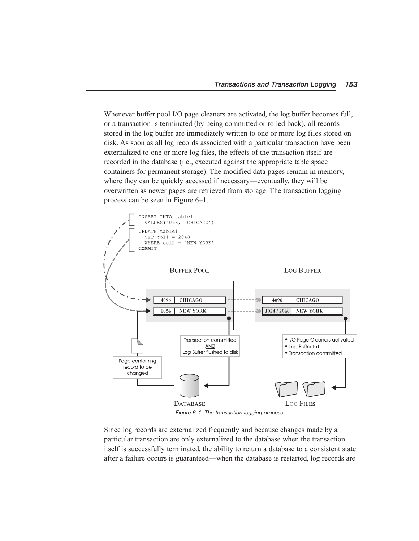Whenever buffer pool I/O page cleaners are activated, the log buffer becomes full, or a transaction is terminated (by being committed or rolled back), all records stored in the log buffer are immediately written to one or more log files stored on disk. As soon as all log records associated with a particular transaction have been externalized to one or more log files, the effects of the transaction itself are recorded in the database (i.e., executed against the appropriate table space containers for permanent storage). The modified data pages remain in memory, where they can be quickly accessed if necessary—eventually, they will be overwritten as newer pages are retrieved from storage. The transaction logging process can be seen in Figure 6–1.



Since log records are externalized frequently and because changes made by a particular transaction are only externalized to the database when the transaction itself is successfully terminated, the ability to return a database to a consistent state after a failure occurs is guaranteed—when the database is restarted, log records are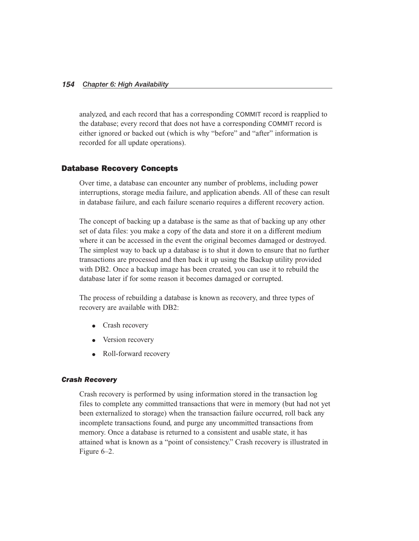analyzed, and each record that has a corresponding COMMIT record is reapplied to the database; every record that does not have a corresponding COMMIT record is either ignored or backed out (which is why "before" and "after" information is recorded for all update operations).

# Database Recovery Concepts

Over time, a database can encounter any number of problems, including power interruptions, storage media failure, and application abends. All of these can result in database failure, and each failure scenario requires a different recovery action.

The concept of backing up a database is the same as that of backing up any other set of data files: you make a copy of the data and store it on a different medium where it can be accessed in the event the original becomes damaged or destroyed. The simplest way to back up a database is to shut it down to ensure that no further transactions are processed and then back it up using the Backup utility provided with DB2. Once a backup image has been created, you can use it to rebuild the database later if for some reason it becomes damaged or corrupted.

The process of rebuilding a database is known as recovery, and three types of recovery are available with DB2:

- Crash recovery
- Version recovery
- Roll-forward recovery

#### *Crash Recovery*

Crash recovery is performed by using information stored in the transaction log files to complete any committed transactions that were in memory (but had not yet been externalized to storage) when the transaction failure occurred, roll back any incomplete transactions found, and purge any uncommitted transactions from memory. Once a database is returned to a consistent and usable state, it has attained what is known as a "point of consistency." Crash recovery is illustrated in Figure 6–2.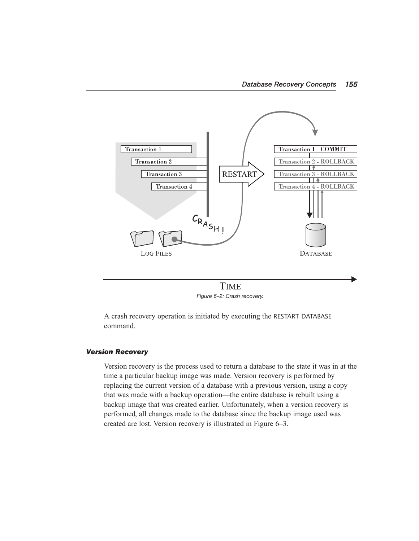

**TIME** *Figure 6–2: Crash recovery.*

A crash recovery operation is initiated by executing the RESTART DATABASE command.

#### *Version Recovery*

Version recovery is the process used to return a database to the state it was in at the time a particular backup image was made. Version recovery is performed by replacing the current version of a database with a previous version, using a copy that was made with a backup operation—the entire database is rebuilt using a backup image that was created earlier. Unfortunately, when a version recovery is performed, all changes made to the database since the backup image used was created are lost. Version recovery is illustrated in Figure 6–3.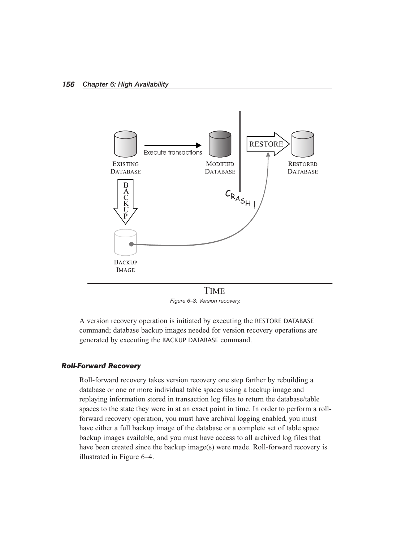

**TIME** *Figure 6–3: Version recovery.*

A version recovery operation is initiated by executing the RESTORE DATABASE command; database backup images needed for version recovery operations are generated by executing the BACKUP DATABASE command.

#### *Roll-Forward Recovery*

Roll-forward recovery takes version recovery one step farther by rebuilding a database or one or more individual table spaces using a backup image and replaying information stored in transaction log files to return the database/table spaces to the state they were in at an exact point in time. In order to perform a rollforward recovery operation, you must have archival logging enabled, you must have either a full backup image of the database or a complete set of table space backup images available, and you must have access to all archived log files that have been created since the backup image(s) were made. Roll-forward recovery is illustrated in Figure 6–4.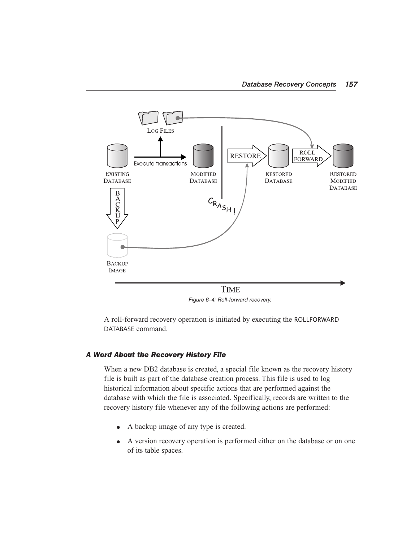

*Figure 6–4: Roll-forward recovery.*

A roll-forward recovery operation is initiated by executing the ROLLFORWARD DATABASE command.

#### *A Word About the Recovery History File*

When a new DB2 database is created, a special file known as the recovery history file is built as part of the database creation process. This file is used to log historical information about specific actions that are performed against the database with which the file is associated. Specifically, records are written to the recovery history file whenever any of the following actions are performed:

- A backup image of any type is created.
- A version recovery operation is performed either on the database or on one of its table spaces.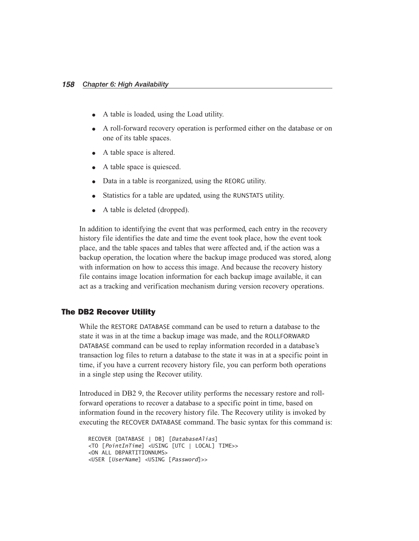- A table is loaded, using the Load utility.
- A roll-forward recovery operation is performed either on the database or on one of its table spaces.
- A table space is altered.
- A table space is quiesced.
- Data in a table is reorganized, using the REORG utility.
- Statistics for a table are updated, using the RUNSTATS utility.
- A table is deleted (dropped).

In addition to identifying the event that was performed, each entry in the recovery history file identifies the date and time the event took place, how the event took place, and the table spaces and tables that were affected and, if the action was a backup operation, the location where the backup image produced was stored, along with information on how to access this image. And because the recovery history file contains image location information for each backup image available, it can act as a tracking and verification mechanism during version recovery operations.

#### The DB2 Recover Utility

While the RESTORE DATABASE command can be used to return a database to the state it was in at the time a backup image was made, and the ROLLFORWARD DATABASE command can be used to replay information recorded in a database's transaction log files to return a database to the state it was in at a specific point in time, if you have a current recovery history file, you can perform both operations in a single step using the Recover utility.

Introduced in DB2 9, the Recover utility performs the necessary restore and rollforward operations to recover a database to a specific point in time, based on information found in the recovery history file. The Recovery utility is invoked by executing the RECOVER DATABASE command. The basic syntax for this command is:

RECOVER [DATABASE | DB] [DatabaseAlias] <TO [PointInTime] <USING [UTC | LOCAL] TIME>> <ON ALL DBPARTITIONNUMS> <USER [UserName] <USING [Password]>>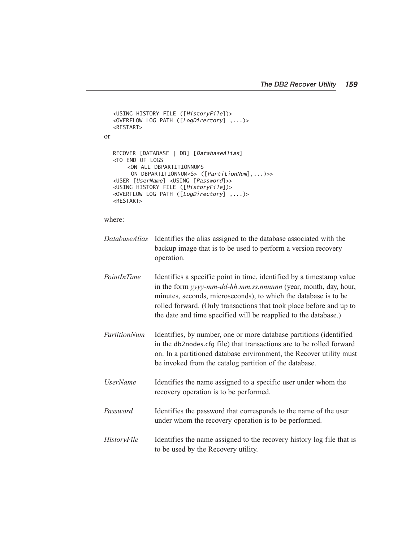```
<USING HISTORY FILE ([HistoryFile])> 
  <OVERFLOW LOG PATH ([LogDirectory] ,...)>
  <RESTART>
or
  RECOVER [DATABASE | DB] [DatabaseAlias]
  <TO END OF LOGS
       <ON ALL DBPARTITIONNUMS |
        ON DBPARTITIONNUM<S> ([PartitionNum],...)>>
  <USER [UserName] <USING [Password]>> 
  <USING HISTORY FILE ([HistoryFile])> 
  <OVERFLOW LOG PATH ([LogDirectory] ,...)>
  <RESTART>
```
#### where:

- *DatabaseAlias* Identifies the alias assigned to the database associated with the backup image that is to be used to perform a version recovery operation.
- *PointInTime* Identifies a specific point in time, identified by a timestamp value in the form *yyyy-mm-dd-hh.mm.ss.nnnnnn* (year, month, day, hour, minutes, seconds, microseconds), to which the database is to be rolled forward. (Only transactions that took place before and up to the date and time specified will be reapplied to the database.)
- *PartitionNum* Identifies, by number, one or more database partitions (identified in the db2nodes.cfg file) that transactions are to be rolled forward on. In a partitioned database environment, the Recover utility must be invoked from the catalog partition of the database.
- *UserName* Identifies the name assigned to a specific user under whom the recovery operation is to be performed.
- *Password* Identifies the password that corresponds to the name of the user under whom the recovery operation is to be performed.
- *HistoryFile* Identifies the name assigned to the recovery history log file that is to be used by the Recovery utility.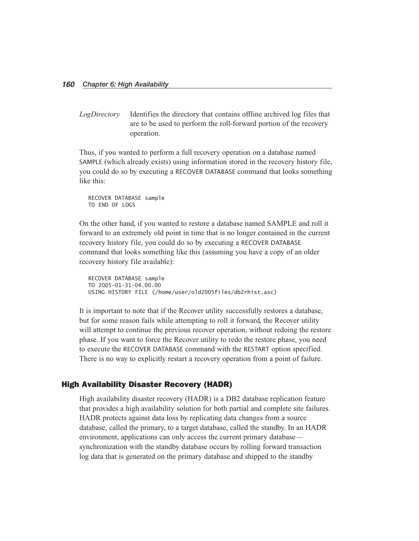*LogDirectory* Identifies the directory that contains offline archived log files that are to be used to perform the roll-forward portion of the recovery operation.

Thus, if you wanted to perform a full recovery operation on a database named SAMPLE (which already exists) using information stored in the recovery history file, you could do so by executing a RECOVER DATABASE command that looks something like this:

RECOVER DATABASE sample TO END OF LOGS

On the other hand, if you wanted to restore a database named SAMPLE and roll it forward to an extremely old point in time that is no longer contained in the current recovery history file, you could do so by executing a RECOVER DATABASE command that looks something like this (assuming you have a copy of an older recovery history file available):

RECOVER DATABASE sample TO 2005-01-31-04.00.00 USING HISTORY FILE (/home/user/old2005files/db2rhist.asc)

It is important to note that if the Recover utility successfully restores a database, but for some reason fails while attempting to roll it forward, the Recover utility will attempt to continue the previous recover operation, without redoing the restore phase. If you want to force the Recover utility to redo the restore phase, you need to execute the RECOVER DATABASE command with the RESTART option specified. There is no way to explicitly restart a recovery operation from a point of failure.

# High Availability Disaster Recovery (HADR)

High availability disaster recovery (HADR) is a DB2 database replication feature that provides a high availability solution for both partial and complete site failures. HADR protects against data loss by replicating data changes from a source database, called the primary, to a target database, called the standby. In an HADR environment, applications can only access the current primary database synchronization with the standby database occurs by rolling forward transaction log data that is generated on the primary database and shipped to the standby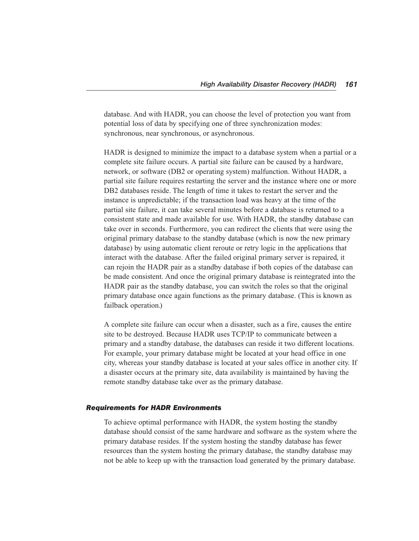database. And with HADR, you can choose the level of protection you want from potential loss of data by specifying one of three synchronization modes: synchronous, near synchronous, or asynchronous.

HADR is designed to minimize the impact to a database system when a partial or a complete site failure occurs. A partial site failure can be caused by a hardware, network, or software (DB2 or operating system) malfunction. Without HADR, a partial site failure requires restarting the server and the instance where one or more DB2 databases reside. The length of time it takes to restart the server and the instance is unpredictable; if the transaction load was heavy at the time of the partial site failure, it can take several minutes before a database is returned to a consistent state and made available for use. With HADR, the standby database can take over in seconds. Furthermore, you can redirect the clients that were using the original primary database to the standby database (which is now the new primary database) by using automatic client reroute or retry logic in the applications that interact with the database. After the failed original primary server is repaired, it can rejoin the HADR pair as a standby database if both copies of the database can be made consistent. And once the original primary database is reintegrated into the HADR pair as the standby database, you can switch the roles so that the original primary database once again functions as the primary database. (This is known as failback operation.)

A complete site failure can occur when a disaster, such as a fire, causes the entire site to be destroyed. Because HADR uses TCP/IP to communicate between a primary and a standby database, the databases can reside it two different locations. For example, your primary database might be located at your head office in one city, whereas your standby database is located at your sales office in another city. If a disaster occurs at the primary site, data availability is maintained by having the remote standby database take over as the primary database.

#### *Requirements for HADR Environments*

To achieve optimal performance with HADR, the system hosting the standby database should consist of the same hardware and software as the system where the primary database resides. If the system hosting the standby database has fewer resources than the system hosting the primary database, the standby database may not be able to keep up with the transaction load generated by the primary database.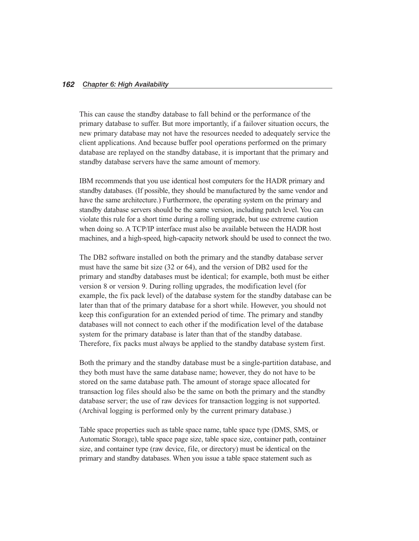This can cause the standby database to fall behind or the performance of the primary database to suffer. But more importantly, if a failover situation occurs, the new primary database may not have the resources needed to adequately service the client applications. And because buffer pool operations performed on the primary database are replayed on the standby database, it is important that the primary and standby database servers have the same amount of memory.

IBM recommends that you use identical host computers for the HADR primary and standby databases. (If possible, they should be manufactured by the same vendor and have the same architecture.) Furthermore, the operating system on the primary and standby database servers should be the same version, including patch level. You can violate this rule for a short time during a rolling upgrade, but use extreme caution when doing so. A TCP/IP interface must also be available between the HADR host machines, and a high-speed, high-capacity network should be used to connect the two.

The DB2 software installed on both the primary and the standby database server must have the same bit size (32 or 64), and the version of DB2 used for the primary and standby databases must be identical; for example, both must be either version 8 or version 9. During rolling upgrades, the modification level (for example, the fix pack level) of the database system for the standby database can be later than that of the primary database for a short while. However, you should not keep this configuration for an extended period of time. The primary and standby databases will not connect to each other if the modification level of the database system for the primary database is later than that of the standby database. Therefore, fix packs must always be applied to the standby database system first.

Both the primary and the standby database must be a single-partition database, and they both must have the same database name; however, they do not have to be stored on the same database path. The amount of storage space allocated for transaction log files should also be the same on both the primary and the standby database server; the use of raw devices for transaction logging is not supported. (Archival logging is performed only by the current primary database.)

Table space properties such as table space name, table space type (DMS, SMS, or Automatic Storage), table space page size, table space size, container path, container size, and container type (raw device, file, or directory) must be identical on the primary and standby databases. When you issue a table space statement such as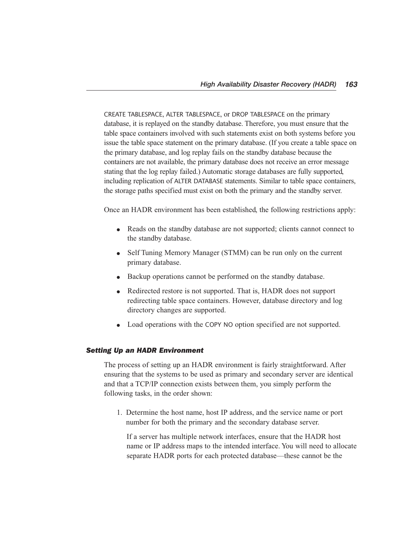CREATE TABLESPACE, ALTER TABLESPACE, or DROP TABLESPACE on the primary database, it is replayed on the standby database. Therefore, you must ensure that the table space containers involved with such statements exist on both systems before you issue the table space statement on the primary database. (If you create a table space on the primary database, and log replay fails on the standby database because the containers are not available, the primary database does not receive an error message stating that the log replay failed.) Automatic storage databases are fully supported, including replication of ALTER DATABASE statements. Similar to table space containers, the storage paths specified must exist on both the primary and the standby server.

Once an HADR environment has been established, the following restrictions apply:

- Reads on the standby database are not supported; clients cannot connect to the standby database.
- Self Tuning Memory Manager (STMM) can be run only on the current primary database.
- Backup operations cannot be performed on the standby database.
- Redirected restore is not supported. That is, HADR does not support redirecting table space containers. However, database directory and log directory changes are supported.
- Load operations with the COPY NO option specified are not supported.

#### *Setting Up an HADR Environment*

The process of setting up an HADR environment is fairly straightforward. After ensuring that the systems to be used as primary and secondary server are identical and that a TCP/IP connection exists between them, you simply perform the following tasks, in the order shown:

1. Determine the host name, host IP address, and the service name or port number for both the primary and the secondary database server.

If a server has multiple network interfaces, ensure that the HADR host name or IP address maps to the intended interface. You will need to allocate separate HADR ports for each protected database—these cannot be the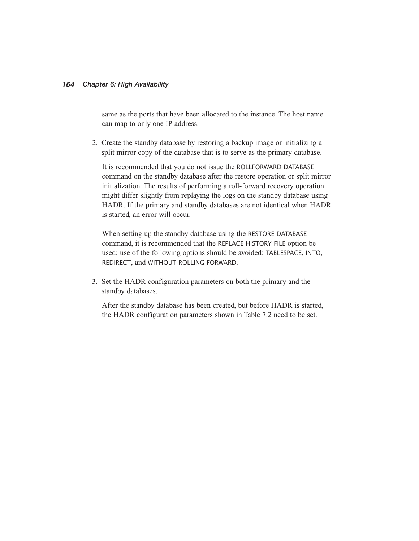same as the ports that have been allocated to the instance. The host name can map to only one IP address.

2. Create the standby database by restoring a backup image or initializing a split mirror copy of the database that is to serve as the primary database.

It is recommended that you do not issue the ROLLFORWARD DATABASE command on the standby database after the restore operation or split mirror initialization. The results of performing a roll-forward recovery operation might differ slightly from replaying the logs on the standby database using HADR. If the primary and standby databases are not identical when HADR is started, an error will occur.

When setting up the standby database using the RESTORE DATABASE command, it is recommended that the REPLACE HISTORY FILE option be used; use of the following options should be avoided: TABLESPACE, INTO, REDIRECT, and WITHOUT ROLLING FORWARD.

3. Set the HADR configuration parameters on both the primary and the standby databases.

After the standby database has been created, but before HADR is started, the HADR configuration parameters shown in Table 7.2 need to be set.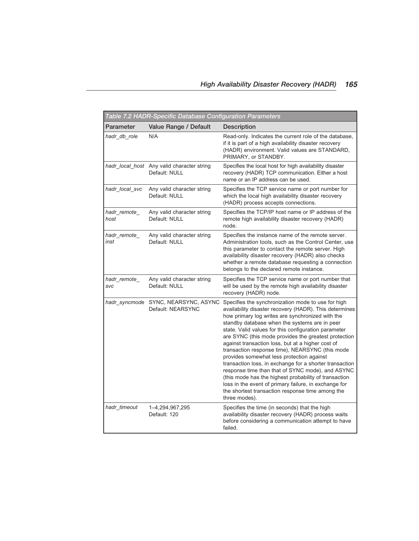| Table 7.2 HADR-Specific Database Configuration Parameters |                                                             |                                                                                                                                                                                                                                                                                                                                                                                                                                                                                                                                                                                                                                                                                                                                                                                              |  |
|-----------------------------------------------------------|-------------------------------------------------------------|----------------------------------------------------------------------------------------------------------------------------------------------------------------------------------------------------------------------------------------------------------------------------------------------------------------------------------------------------------------------------------------------------------------------------------------------------------------------------------------------------------------------------------------------------------------------------------------------------------------------------------------------------------------------------------------------------------------------------------------------------------------------------------------------|--|
| Parameter                                                 | Value Range / Default                                       | Description                                                                                                                                                                                                                                                                                                                                                                                                                                                                                                                                                                                                                                                                                                                                                                                  |  |
| hadr db role                                              | N/A                                                         | Read-only. Indicates the current role of the database,<br>if it is part of a high availability disaster recovery<br>(HADR) environment. Valid values are STANDARD,<br>PRIMARY, or STANDBY.                                                                                                                                                                                                                                                                                                                                                                                                                                                                                                                                                                                                   |  |
|                                                           | hadr local host Any valid character string<br>Default: NULL | Specifies the local host for high availability disaster<br>recovery (HADR) TCP communication. Either a host<br>name or an IP address can be used.                                                                                                                                                                                                                                                                                                                                                                                                                                                                                                                                                                                                                                            |  |
| hadr_local_svc                                            | Any valid character string<br>Default: NULL                 | Specifies the TCP service name or port number for<br>which the local high availability disaster recovery<br>(HADR) process accepts connections.                                                                                                                                                                                                                                                                                                                                                                                                                                                                                                                                                                                                                                              |  |
| hadr_remote_<br>host                                      | Any valid character string<br>Default: NULL                 | Specifies the TCP/IP host name or IP address of the<br>remote high availability disaster recovery (HADR)<br>node.                                                                                                                                                                                                                                                                                                                                                                                                                                                                                                                                                                                                                                                                            |  |
| hadr remote<br>inst                                       | Any valid character string<br>Default: NULL                 | Specifies the instance name of the remote server.<br>Administration tools, such as the Control Center, use<br>this parameter to contact the remote server. High<br>availability disaster recovery (HADR) also checks<br>whether a remote database requesting a connection<br>belongs to the declared remote instance.                                                                                                                                                                                                                                                                                                                                                                                                                                                                        |  |
| hadr remote<br><b>SVC</b>                                 | Any valid character string<br>Default: NULL                 | Specifies the TCP service name or port number that<br>will be used by the remote high availability disaster<br>recovery (HADR) node.                                                                                                                                                                                                                                                                                                                                                                                                                                                                                                                                                                                                                                                         |  |
| hadr syncmode                                             | SYNC, NEARSYNC, ASYNC<br>Default: NEARSYNC                  | Specifies the synchronization mode to use for high<br>availability disaster recovery (HADR). This determines<br>how primary log writes are synchronized with the<br>standby database when the systems are in peer<br>state. Valid values for this configuration parameter<br>are SYNC (this mode provides the greatest protection<br>against transaction loss, but at a higher cost of<br>transaction response time), NEARSYNC (this mode<br>provides somewhat less protection against<br>transaction loss, in exchange for a shorter transaction<br>response time than that of SYNC mode), and ASYNC<br>(this mode has the highest probability of transaction<br>loss in the event of primary failure, in exchange for<br>the shortest transaction response time among the<br>three modes). |  |
| hadr timeout                                              | 1-4,294,967,295<br>Default: 120                             | Specifies the time (in seconds) that the high<br>availability disaster recovery (HADR) process waits<br>before considering a communication attempt to have<br>failed.                                                                                                                                                                                                                                                                                                                                                                                                                                                                                                                                                                                                                        |  |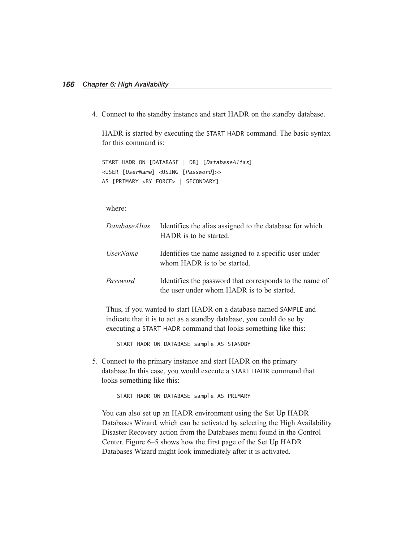4. Connect to the standby instance and start HADR on the standby database.

HADR is started by executing the START HADR command. The basic syntax for this command is:

START HADR ON [DATABASE | DB] [DatabaseAlias] <USER [UserName] <USING [Password]>> AS [PRIMARY <BY FORCE> | SECONDARY]

where:

| <i>DatabaseAlias</i> | Identifies the alias assigned to the database for which<br>HADR is to be started.                     |
|----------------------|-------------------------------------------------------------------------------------------------------|
| <i>UserName</i>      | Identifies the name assigned to a specific user under<br>whom HADR is to be started.                  |
| Password             | Identifies the password that corresponds to the name of<br>the user under whom HADR is to be started. |

Thus, if you wanted to start HADR on a database named SAMPLE and indicate that it is to act as a standby database, you could do so by executing a START HADR command that looks something like this:

START HADR ON DATABASE sample AS STANDBY

5. Connect to the primary instance and start HADR on the primary database.In this case, you would execute a START HADR command that looks something like this:

START HADR ON DATABASE sample AS PRIMARY

You can also set up an HADR environment using the Set Up HADR Databases Wizard, which can be activated by selecting the High Availability Disaster Recovery action from the Databases menu found in the Control Center. Figure 6–5 shows how the first page of the Set Up HADR Databases Wizard might look immediately after it is activated.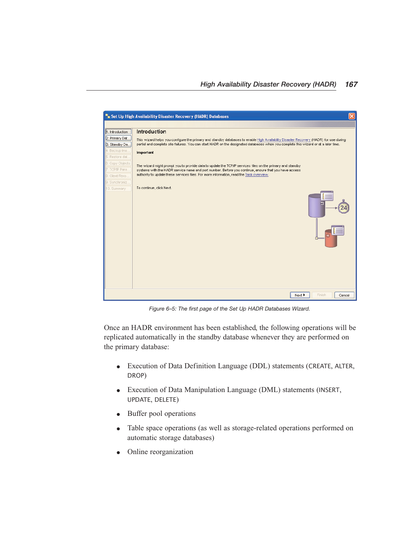|                                                           | Set Up High Availability Disaster Recovery (HADR) Databases                                                                                                                                                                                                                                                   |
|-----------------------------------------------------------|---------------------------------------------------------------------------------------------------------------------------------------------------------------------------------------------------------------------------------------------------------------------------------------------------------------|
|                                                           |                                                                                                                                                                                                                                                                                                               |
| 1. Introduction                                           | Introduction                                                                                                                                                                                                                                                                                                  |
| 2. Primary Dat<br>3. Standby Da                           | This wizard helps you configure the primary and standby databases to enable High Availability Disaster Recovery (HADR) for use during<br>partial and complete site failures. You can start HADR on the designated databases when you complete this wizard or at a later time.                                 |
| 4. Backup Ima<br>5. Restore dat                           | Important                                                                                                                                                                                                                                                                                                     |
| <b>6. Copy Objects</b><br>. TCP/IP Para<br>B. Client Rero | The wizard might prompt you to provide data to update the TCP/IP services files on the primary and standby<br>systems with the HADR service name and port number. Before you continue, ensure that you have access<br>authority to update these services files. For more information, read the Task overview. |
| 9. Synchroniz.<br>10. Summary                             | To continue, click Next.                                                                                                                                                                                                                                                                                      |
|                                                           |                                                                                                                                                                                                                                                                                                               |
|                                                           |                                                                                                                                                                                                                                                                                                               |
|                                                           |                                                                                                                                                                                                                                                                                                               |
|                                                           |                                                                                                                                                                                                                                                                                                               |
|                                                           |                                                                                                                                                                                                                                                                                                               |
|                                                           | Next $\blacktriangleright$<br>Finish<br>Cancel                                                                                                                                                                                                                                                                |

*Figure 6–5: The first page of the Set Up HADR Databases Wizard.*

Once an HADR environment has been established, the following operations will be replicated automatically in the standby database whenever they are performed on the primary database:

- Execution of Data Definition Language (DDL) statements (CREATE, ALTER, DROP)
- Execution of Data Manipulation Language (DML) statements (INSERT, UPDATE, DELETE)
- Buffer pool operations
- Table space operations (as well as storage-related operations performed on automatic storage databases)
- Online reorganization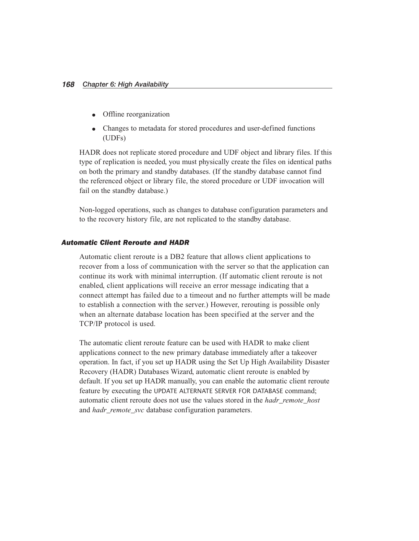- Offline reorganization
- Changes to metadata for stored procedures and user-defined functions (UDFs)

HADR does not replicate stored procedure and UDF object and library files. If this type of replication is needed, you must physically create the files on identical paths on both the primary and standby databases. (If the standby database cannot find the referenced object or library file, the stored procedure or UDF invocation will fail on the standby database.)

Non-logged operations, such as changes to database configuration parameters and to the recovery history file, are not replicated to the standby database.

### *Automatic Client Reroute and HADR*

Automatic client reroute is a DB2 feature that allows client applications to recover from a loss of communication with the server so that the application can continue its work with minimal interruption. (If automatic client reroute is not enabled, client applications will receive an error message indicating that a connect attempt has failed due to a timeout and no further attempts will be made to establish a connection with the server.) However, rerouting is possible only when an alternate database location has been specified at the server and the TCP/IP protocol is used.

The automatic client reroute feature can be used with HADR to make client applications connect to the new primary database immediately after a takeover operation. In fact, if you set up HADR using the Set Up High Availability Disaster Recovery (HADR) Databases Wizard, automatic client reroute is enabled by default. If you set up HADR manually, you can enable the automatic client reroute feature by executing the UPDATE ALTERNATE SERVER FOR DATABASE command; automatic client reroute does not use the values stored in the *hadr\_remote\_host* and *hadr\_remote\_svc* database configuration parameters.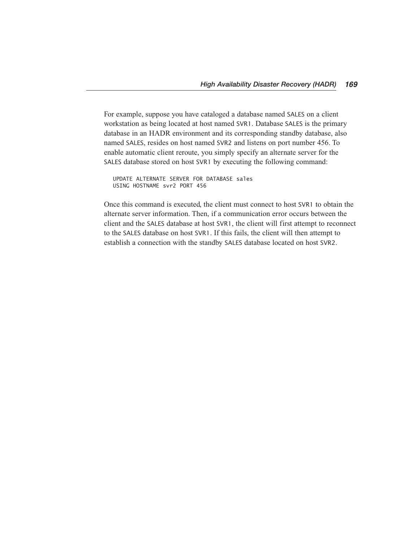For example, suppose you have cataloged a database named SALES on a client workstation as being located at host named SVR1. Database SALES is the primary database in an HADR environment and its corresponding standby database, also named SALES, resides on host named SVR2 and listens on port number 456. To enable automatic client reroute, you simply specify an alternate server for the SALES database stored on host SVR1 by executing the following command:

UPDATE ALTERNATE SERVER FOR DATABASE sales USING HOSTNAME svr2 PORT 456

Once this command is executed, the client must connect to host SVR1 to obtain the alternate server information. Then, if a communication error occurs between the client and the SALES database at host SVR1, the client will first attempt to reconnect to the SALES database on host SVR1. If this fails, the client will then attempt to establish a connection with the standby SALES database located on host SVR2.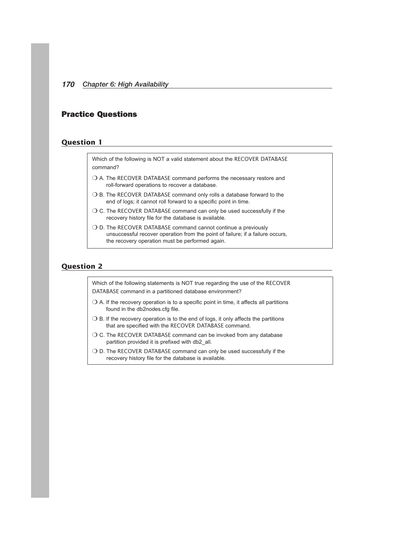# Practice Questions

#### **Question 1**

Which of the following is NOT a valid statement about the RECOVER DATABASE *command?*

- ❍ *A. The* RECOVER DATABASE *command performs the necessary restore and roll-forward operations to recover a database.*
- ❍ *B. The* RECOVER DATABASE *command only rolls a database forward to the end of logs; it cannot roll forward to a specific point in time.*
- ❍ *C. The* RECOVER DATABASE *command can only be used successfully if the recovery history file for the database is available.*
- ❍ *D. The* RECOVER DATABASE *command cannot continue a previously unsuccessful recover operation from the point of failure; if a failure occurs, the recovery operation must be performed again.*

#### **Question 2**

*Which of the following statements is NOT true regarding the use of the* RECOVER DATABASE *command in a partitioned database environment?*

- ❍ *A. If the recovery operation is to a specific point in time, it affects all partitions found in the db2nodes.cfg file.*
- ❍ *B. If the recovery operation is to the end of logs, it only affects the partitions that are specified with the* RECOVER DATABASE *command.*
- ❍ *C. The* RECOVER DATABASE *command can be invoked from any database partition provided it is prefixed with db2\_all.*
- ❍ *D. The* RECOVER DATABASE *command can only be used successfully if the recovery history file for the database is available.*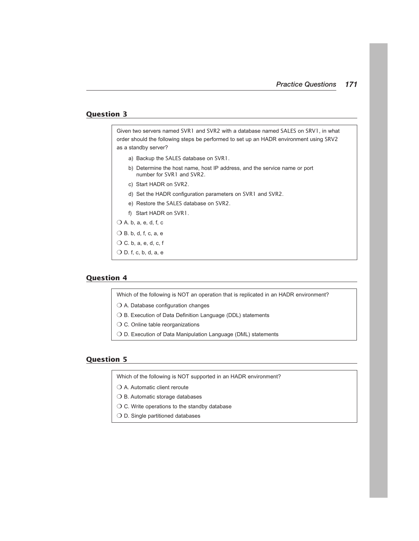#### **Question 3**

*Given two servers named* SVR1 *and* SVR2 *with a database named* SALES *on* SRV1*, in what order should the following steps be performed to set up an HADR environment using SRV2 as a standby server?*

- *a) Backup the* SALES *database on* SVR1*.*
- *b) Determine the host name, host IP address, and the service name or port number for* SVR1 *and* SVR2*.*
- *c) Start HADR on* SVR2*.*
- *d) Set the HADR configuration parameters on* SVR1 *and* SVR2*.*
- *e) Restore the* SALES *database on* SVR2*.*
- *f) Start HADR on* SVR1*.*
- ❍ *A. b, a, e, d, f, c*
- ❍ *B. b, d, f, c, a, e*
- ❍ *C. b, a, e, d, c, f*
- ❍ *D. f, c, b, d, a, e*

#### **Question 4**

*Which of the following is NOT an operation that is replicated in an HADR environment?*

- ❍ *A. Database configuration changes*
- ❍ *B. Execution of Data Definition Language (DDL) statements*
- ❍ *C. Online table reorganizations*
- ❍ *D. Execution of Data Manipulation Language (DML) statements*

#### **Question 5**

*Which of the following is NOT supported in an HADR environment?*

- ❍ *A. Automatic client reroute*
- ❍ *B. Automatic storage databases*
- ❍ *C. Write operations to the standby database*
- ❍ *D. Single partitioned databases*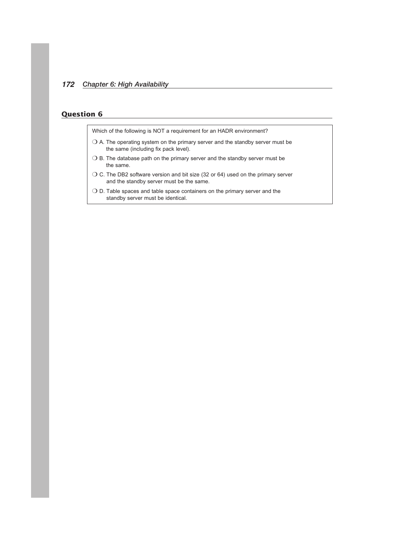# **Question 6**

*Which of the following is NOT a requirement for an HADR environment?*

- ❍ *A. The operating system on the primary server and the standby server must be the same (including fix pack level).*
- ❍ *B. The database path on the primary server and the standby server must be the same.*
- ❍ *C. The DB2 software version and bit size (32 or 64) used on the primary server and the standby server must be the same.*
- ❍ *D. Table spaces and table space containers on the primary server and the standby server must be identical.*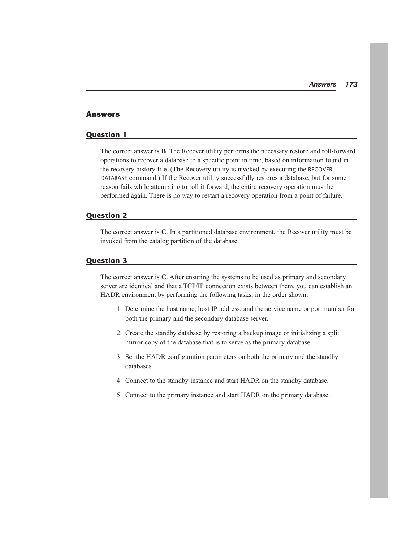#### Answers

#### **Question 1**

The correct answer is **B**. The Recover utility performs the necessary restore and roll-forward operations to recover a database to a specific point in time, based on information found in the recovery history file. (The Recovery utility is invoked by executing the RECOVER DATABASE command.) If the Recover utility successfully restores a database, but for some reason fails while attempting to roll it forward, the entire recovery operation must be performed again. There is no way to restart a recovery operation from a point of failure.

#### **Question 2**

The correct answer is **C**. In a partitioned database environment, the Recover utility must be invoked from the catalog partition of the database.

#### **Question 3**

The correct answer is **C**. After ensuring the systems to be used as primary and secondary server are identical and that a TCP/IP connection exists between them, you can establish an HADR environment by performing the following tasks, in the order shown:

- 1. Determine the host name, host IP address, and the service name or port number for both the primary and the secondary database server.
- 2. Create the standby database by restoring a backup image or initializing a split mirror copy of the database that is to serve as the primary database.
- 3. Set the HADR configuration parameters on both the primary and the standby databases.
- 4. Connect to the standby instance and start HADR on the standby database.
- 5. Connect to the primary instance and start HADR on the primary database.